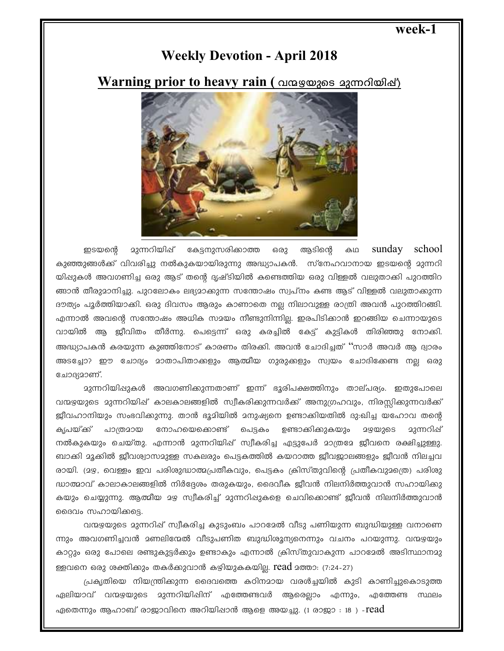### week-1

# **Weekly Devotion - April 2018**

## Warning prior to heavy rain ( വന്മഴയുടെ മുന്നറിയിഷ്)



ഇടയന്റെ മുന്നറിയിഷ് കേടനുസരിക്കാത്ത ഒരു അടിന്റെ கம sunday school കുഞ്ഞുങ്ങൾക്ക് വിവരിച്ചു നൽകുകയായിരുന്നു അദ്ധ്യാപകൻ. സ്നേഹവാനായ ഇടയന്റെ മുന്നറി യിഷുകൾ അവഗണിച്ച ഒരു ആട് തന്റെ ദൃഷ്ടിയിൽ കണ്ടെത്തിയ ഒരു വിള്ളൽ വലുതാക്കി പുറത്തിറ ങ്ങാൻ തീരുമാനിച്ചു. പുറലോകം ലഭ്യമാക്കുന്ന സന്തോഷം സ്വപ്നം കണ്ട ആട് വിള്ളൽ വലുതാക്കുന്ന ദൗത്യം പൂർത്തിയാക്കി. ഒരു ദിവസം ആരും കാണാതെ നല്ല നിലാവുള്ള രാത്രി അവൻ പുറത്തിറങ്ങി. എന്നാൽ അവന്റെ സന്തോഷം അധിക സമയം നീണ്ടുനിന്നില്ല. ഇരപിടിക്കാൻ ഇറങ്ങിയ ചെന്നായുടെ വായിൽ ആ ജീവിതം തീർന്നു. പെട്ടെന്ന് ഒരു കരച്ചിൽ കേട്ട് കുട്ടികൾ തിരിഞ്ഞു നോക്കി. അദ്ധ്യാപകൻ കരയുന്ന കുഞ്ഞിനോട് കാരണം തിരക്കി. അവൻ ചോദിച്ചത് ''സാർ അവർ ആ ദ്വാരം അടച്ചോ? ഈ ചോദ്യം മാതാപിതാക്കളും ആത്മീയ ഗുരുക്കളും സ്വയം ചോദിക്കേണ്ട നല്ല ഒരു ചോദ്യമാണ്.

വന്മഴയുടെ മുന്നറിയിഷ് കാലകാലങ്ങളിൽ സ്വീകരിക്കുന്നവർക്ക് അനുഗ്രഹവും, നിരസ്സിക്കുന്നവർക്ക് ജീവഹാനിയും സംഭവിക്കുന്നു. താൻ ഭൂമിയിൽ മനുഷ്യനെ ഉണ്ടാക്കിയതിൽ ദു:ഖിച്ച യഹോവ തന്റെ കൃപയ്ക് പാത്രമായ നോഹയെക്കൊണ്ട് പെട്ടകം ഉണ്ടാക്കിക്കുകയും 29@26S മുന്നറിഷ് നൽകുകയും ചെയ്തു. എന്നാൻ മുന്നറിയിഷ് സ്വീകരിച്ച എട്ടുപേർ മാത്രമേ ജീവനെ രക്ഷിച്ചുള്ളു. ബാക്കി മൂക്കിൽ ജീവശ്വാസമുള്ള സകലരും പെട്ടകത്തിൽ കയറാത്ത ജീവജാലങ്ങളും ജീവൻ നിലച്ചവ രായി. (മഴ, വെള്ളം ഇവ പരിശുദ്ധാത്മപ്രതീകവും, പെട്ടകം ക്രിസ്തുവിന്റെ പ്രതീകവുമത്രെ) പരിശു ദ്ധാത്മാവ് കാലാകാലങ്ങളിൽ നിർദ്ദേശം തരുകയും, ദൈവീക ജീവൻ നിലനിർത്തുവാൻ സഹായിക്കു കയും ചെയ്യുന്നു. ആത്മീയ മഴ സ്വീകരിച്ച് മുന്നറിഷുകളെ ചെവികൊണ്ട് ജീവൻ നിലനിർത്തുവാൻ ദൈവം സഹായിക്കട്ടെ.

വന്മഴയുടെ മുന്നറിഷ് സ്വീകരിച്ച കുടുംബം പാറമേൽ വീടു പണിയുന്ന ബുദ്ധിയുള്ള വനാണെ ന്നും അവഗണിച്ചവൻ മണലിന്മേൽ വീടുപണിത ബുദ്ധിശൂന്യനെന്നും വചനം പറയുന്നു. വന്മഴയും കാറ്റും ഒരു പോലെ രണ്ടുകുട്ടർക്കും ഉണ്ടാകും എന്നാൽ ക്രിസ്തുവാകുന്ന പാറമേൽ അടിസ്ഥാനമു ള്ളവനെ ഒരു ശക്തിക്കും തകർക്കുവാൻ കഴിയുകകയില്ല. Iead മത്താ: (7:24-27)

പ്രകൃതിയെ നിയന്ത്രിക്കുന്ന ദൈവത്തെ കഠിനമായ വരൾച്ചയിൽ കുടി കാണിച്ചുകൊടുത്ത ഏലിയാവ് വന്മഴയുടെ മുന്നറിയിഷിന് എത്തേണ്ടവർ ആരെല്ലാം എന്നും, എത്തേണ്ട സ്ഥലം ഏതെന്നും ആഹാബ് രാജാവിനെ അറിയിഷാൻ ആളെ അയച്ചു. (1 രാജാ : 18 ) <code>-read</code>